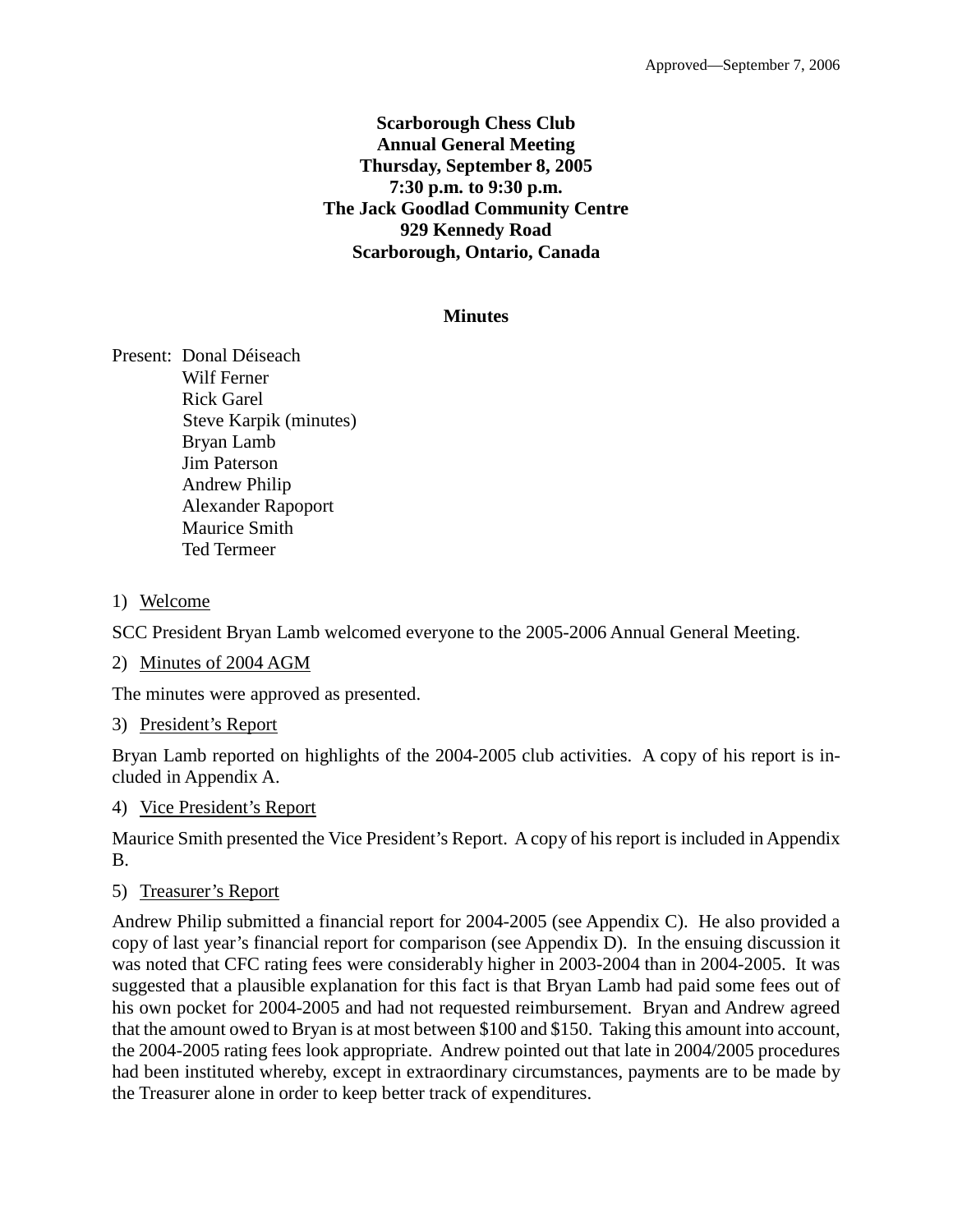## **Scarborough Chess Club Annual General Meeting Thursday, September 8, 2005 7:30 p.m. to 9:30 p.m. The Jack Goodlad Community Centre 929 Kennedy Road Scarborough, Ontario, Canada**

### **Minutes**

Present: Donal Déiseach Wilf Ferner Rick Garel Steve Karpik (minutes) Bryan Lamb Jim Paterson Andrew Philip Alexander Rapoport Maurice Smith Ted Termeer

## 1) Welcome

SCC President Bryan Lamb welcomed everyone to the 2005-2006 Annual General Meeting.

### 2) Minutes of 2004 AGM

The minutes were approved as presented.

3) President's Report

Bryan Lamb reported on highlights of the 2004-2005 club activities. A copy of his report is included in Appendix A.

### 4) Vice President's Report

Maurice Smith presented the Vice President's Report. A copy of his report is included in Appendix B.

5) Treasurer's Report

Andrew Philip submitted a financial report for 2004-2005 (see Appendix C). He also provided a copy of last year's financial report for comparison (see Appendix D). In the ensuing discussion it was noted that CFC rating fees were considerably higher in 2003-2004 than in 2004-2005. It was suggested that a plausible explanation for this fact is that Bryan Lamb had paid some fees out of his own pocket for 2004-2005 and had not requested reimbursement. Bryan and Andrew agreed that the amount owed to Bryan is at most between \$100 and \$150. Taking this amount into account, the 2004-2005 rating fees look appropriate. Andrew pointed out that late in 2004/2005 procedures had been instituted whereby, except in extraordinary circumstances, payments are to be made by the Treasurer alone in order to keep better track of expenditures.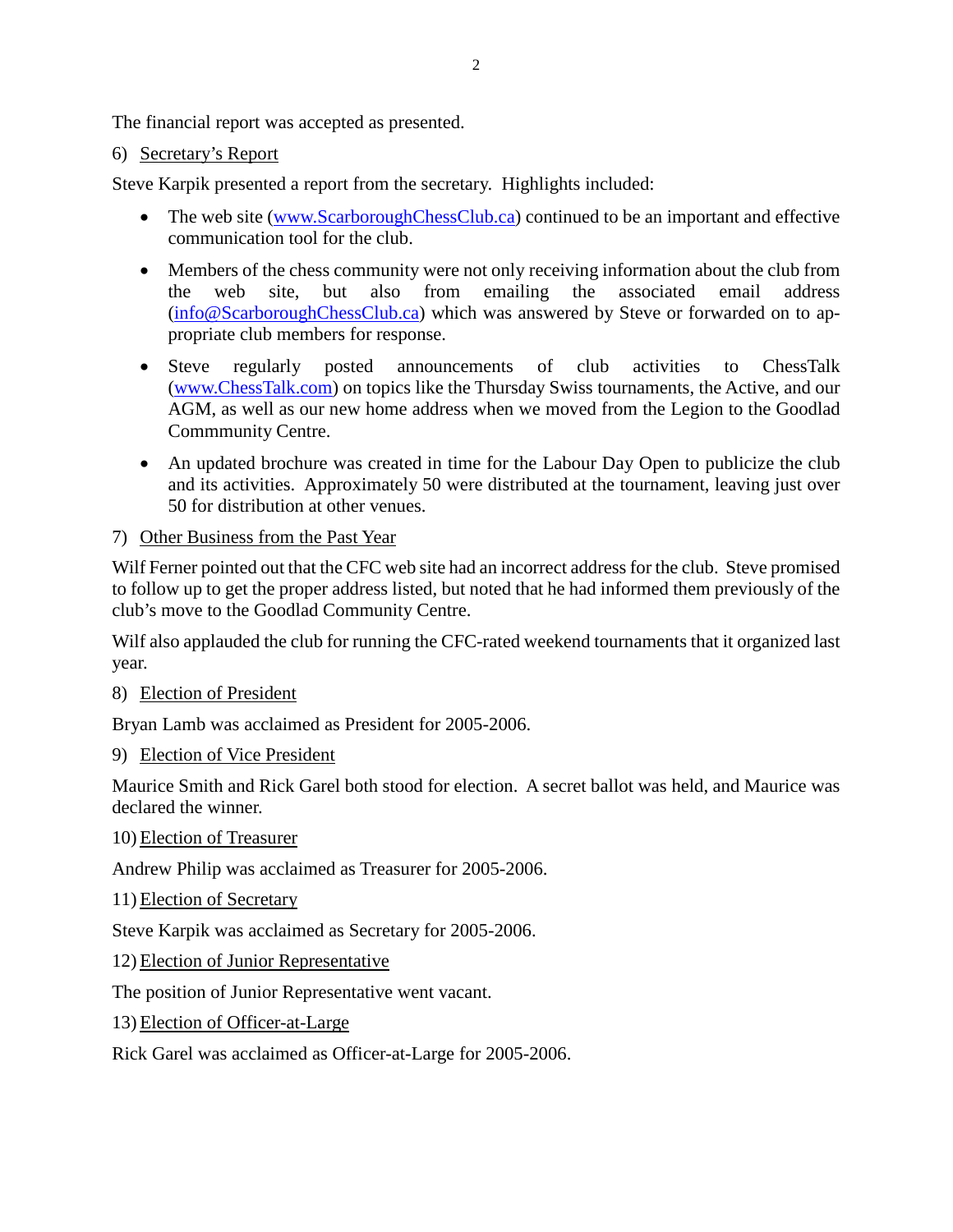The financial report was accepted as presented.

# 6) Secretary's Report

Steve Karpik presented a report from the secretary. Highlights included:

- The web site [\(www.ScarboroughChessClub.ca\)](http://www.scarboroughchessclub.ca/) continued to be an important and effective communication tool for the club.
- Members of the chess community were not only receiving information about the club from the web site, but also from emailing the associated email address [\(info@ScarboroughChessClub.ca\)](mailto:info@ScarboroughChessClub.ca) which was answered by Steve or forwarded on to appropriate club members for response.
- Steve regularly posted announcements of club activities to ChessTalk [\(www.ChessTalk.com\)](http://www.chesstalk.com/) on topics like the Thursday Swiss tournaments, the Active, and our AGM, as well as our new home address when we moved from the Legion to the Goodlad Commmunity Centre.
- An updated brochure was created in time for the Labour Day Open to publicize the club and its activities. Approximately 50 were distributed at the tournament, leaving just over 50 for distribution at other venues.

## 7) Other Business from the Past Year

Wilf Ferner pointed out that the CFC web site had an incorrect address for the club. Steve promised to follow up to get the proper address listed, but noted that he had informed them previously of the club's move to the Goodlad Community Centre.

Wilf also applauded the club for running the CFC-rated weekend tournaments that it organized last year.

8) Election of President

Bryan Lamb was acclaimed as President for 2005-2006.

9) Election of Vice President

Maurice Smith and Rick Garel both stood for election. A secret ballot was held, and Maurice was declared the winner.

10) Election of Treasurer

Andrew Philip was acclaimed as Treasurer for 2005-2006.

11) Election of Secretary

Steve Karpik was acclaimed as Secretary for 2005-2006.

12) Election of Junior Representative

The position of Junior Representative went vacant.

13) Election of Officer-at-Large

Rick Garel was acclaimed as Officer-at-Large for 2005-2006.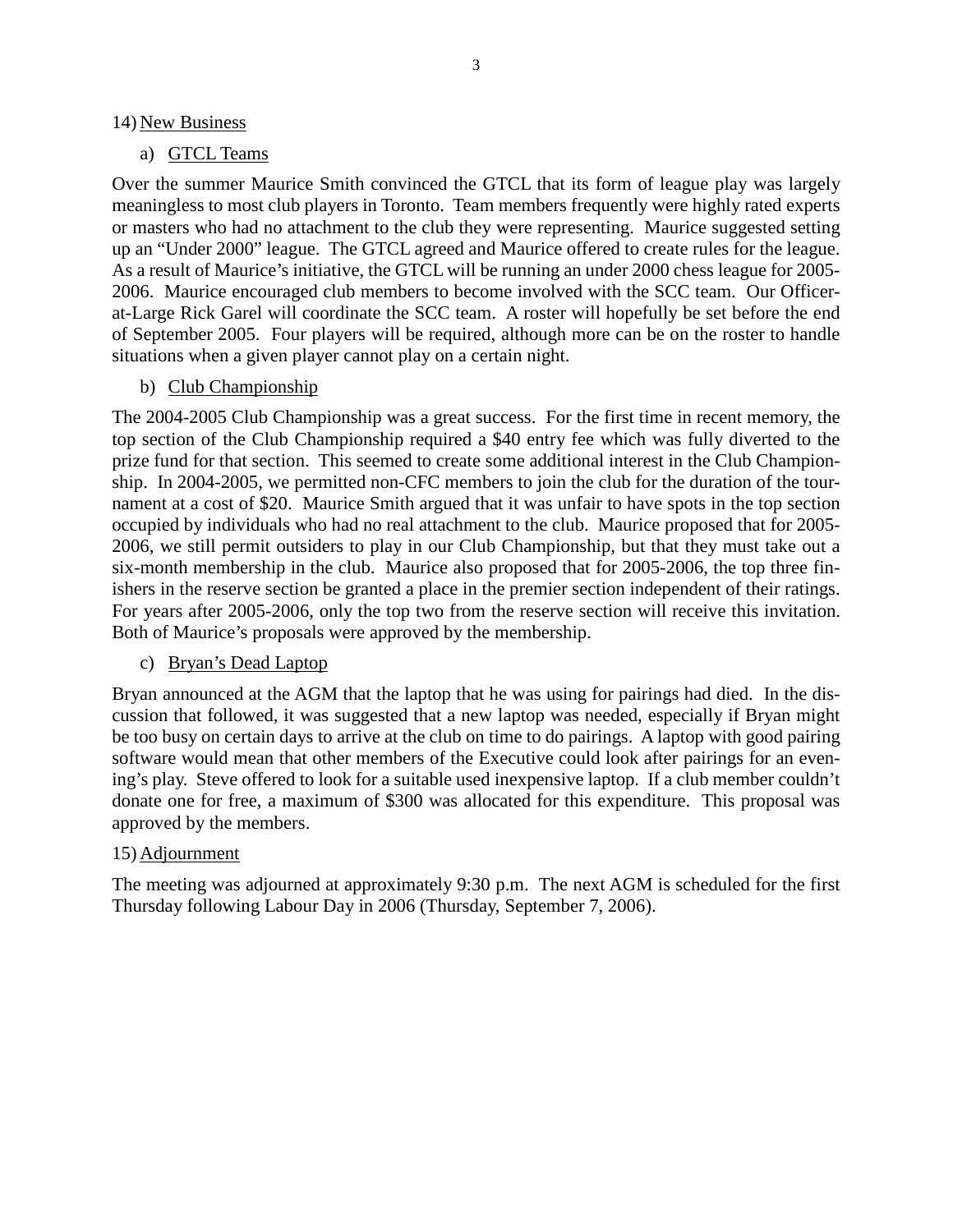#### 14) New Business

## a) GTCL Teams

Over the summer Maurice Smith convinced the GTCL that its form of league play was largely meaningless to most club players in Toronto. Team members frequently were highly rated experts or masters who had no attachment to the club they were representing. Maurice suggested setting up an "Under 2000" league. The GTCL agreed and Maurice offered to create rules for the league. As a result of Maurice's initiative, the GTCL will be running an under 2000 chess league for 2005- 2006. Maurice encouraged club members to become involved with the SCC team. Our Officerat-Large Rick Garel will coordinate the SCC team. A roster will hopefully be set before the end of September 2005. Four players will be required, although more can be on the roster to handle situations when a given player cannot play on a certain night.

b) Club Championship

The 2004-2005 Club Championship was a great success. For the first time in recent memory, the top section of the Club Championship required a \$40 entry fee which was fully diverted to the prize fund for that section. This seemed to create some additional interest in the Club Championship. In 2004-2005, we permitted non-CFC members to join the club for the duration of the tournament at a cost of \$20. Maurice Smith argued that it was unfair to have spots in the top section occupied by individuals who had no real attachment to the club. Maurice proposed that for 2005- 2006, we still permit outsiders to play in our Club Championship, but that they must take out a six-month membership in the club. Maurice also proposed that for 2005-2006, the top three finishers in the reserve section be granted a place in the premier section independent of their ratings. For years after 2005-2006, only the top two from the reserve section will receive this invitation. Both of Maurice's proposals were approved by the membership.

### c) Bryan's Dead Laptop

Bryan announced at the AGM that the laptop that he was using for pairings had died. In the discussion that followed, it was suggested that a new laptop was needed, especially if Bryan might be too busy on certain days to arrive at the club on time to do pairings. A laptop with good pairing software would mean that other members of the Executive could look after pairings for an evening's play. Steve offered to look for a suitable used inexpensive laptop. If a club member couldn't donate one for free, a maximum of \$300 was allocated for this expenditure. This proposal was approved by the members.

### 15) Adjournment

The meeting was adjourned at approximately 9:30 p.m. The next AGM is scheduled for the first Thursday following Labour Day in 2006 (Thursday, September 7, 2006).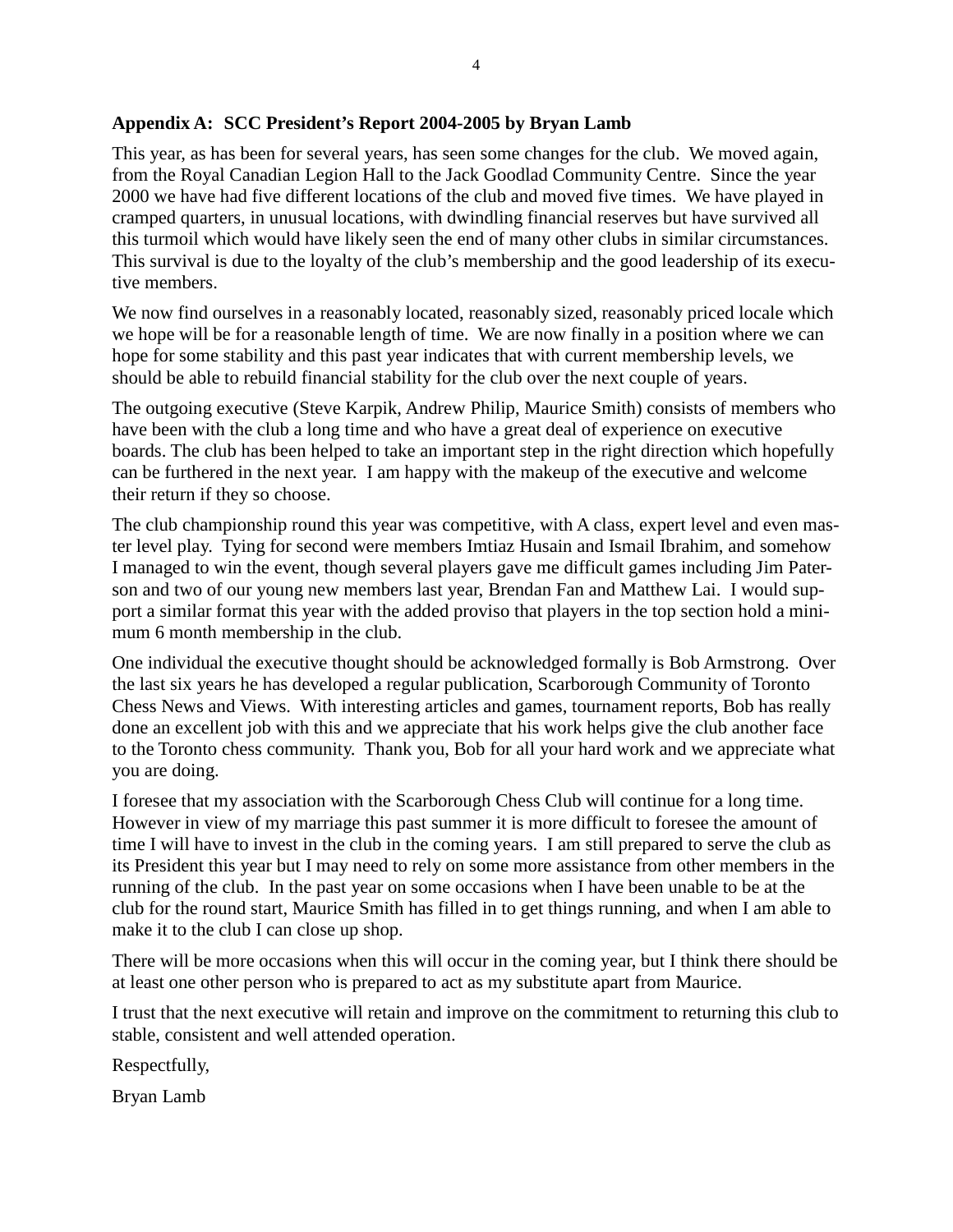#### **Appendix A: SCC President's Report 2004-2005 by Bryan Lamb**

This year, as has been for several years, has seen some changes for the club. We moved again, from the Royal Canadian Legion Hall to the Jack Goodlad Community Centre. Since the year 2000 we have had five different locations of the club and moved five times. We have played in cramped quarters, in unusual locations, with dwindling financial reserves but have survived all this turmoil which would have likely seen the end of many other clubs in similar circumstances. This survival is due to the loyalty of the club's membership and the good leadership of its executive members.

We now find ourselves in a reasonably located, reasonably sized, reasonably priced locale which we hope will be for a reasonable length of time. We are now finally in a position where we can hope for some stability and this past year indicates that with current membership levels, we should be able to rebuild financial stability for the club over the next couple of years.

The outgoing executive (Steve Karpik, Andrew Philip, Maurice Smith) consists of members who have been with the club a long time and who have a great deal of experience on executive boards. The club has been helped to take an important step in the right direction which hopefully can be furthered in the next year. I am happy with the makeup of the executive and welcome their return if they so choose.

The club championship round this year was competitive, with A class, expert level and even master level play. Tying for second were members Imtiaz Husain and Ismail Ibrahim, and somehow I managed to win the event, though several players gave me difficult games including Jim Paterson and two of our young new members last year, Brendan Fan and Matthew Lai. I would support a similar format this year with the added proviso that players in the top section hold a minimum 6 month membership in the club.

One individual the executive thought should be acknowledged formally is Bob Armstrong. Over the last six years he has developed a regular publication, Scarborough Community of Toronto Chess News and Views. With interesting articles and games, tournament reports, Bob has really done an excellent job with this and we appreciate that his work helps give the club another face to the Toronto chess community. Thank you, Bob for all your hard work and we appreciate what you are doing.

I foresee that my association with the Scarborough Chess Club will continue for a long time. However in view of my marriage this past summer it is more difficult to foresee the amount of time I will have to invest in the club in the coming years. I am still prepared to serve the club as its President this year but I may need to rely on some more assistance from other members in the running of the club. In the past year on some occasions when I have been unable to be at the club for the round start, Maurice Smith has filled in to get things running, and when I am able to make it to the club I can close up shop.

There will be more occasions when this will occur in the coming year, but I think there should be at least one other person who is prepared to act as my substitute apart from Maurice.

I trust that the next executive will retain and improve on the commitment to returning this club to stable, consistent and well attended operation.

Respectfully,

Bryan Lamb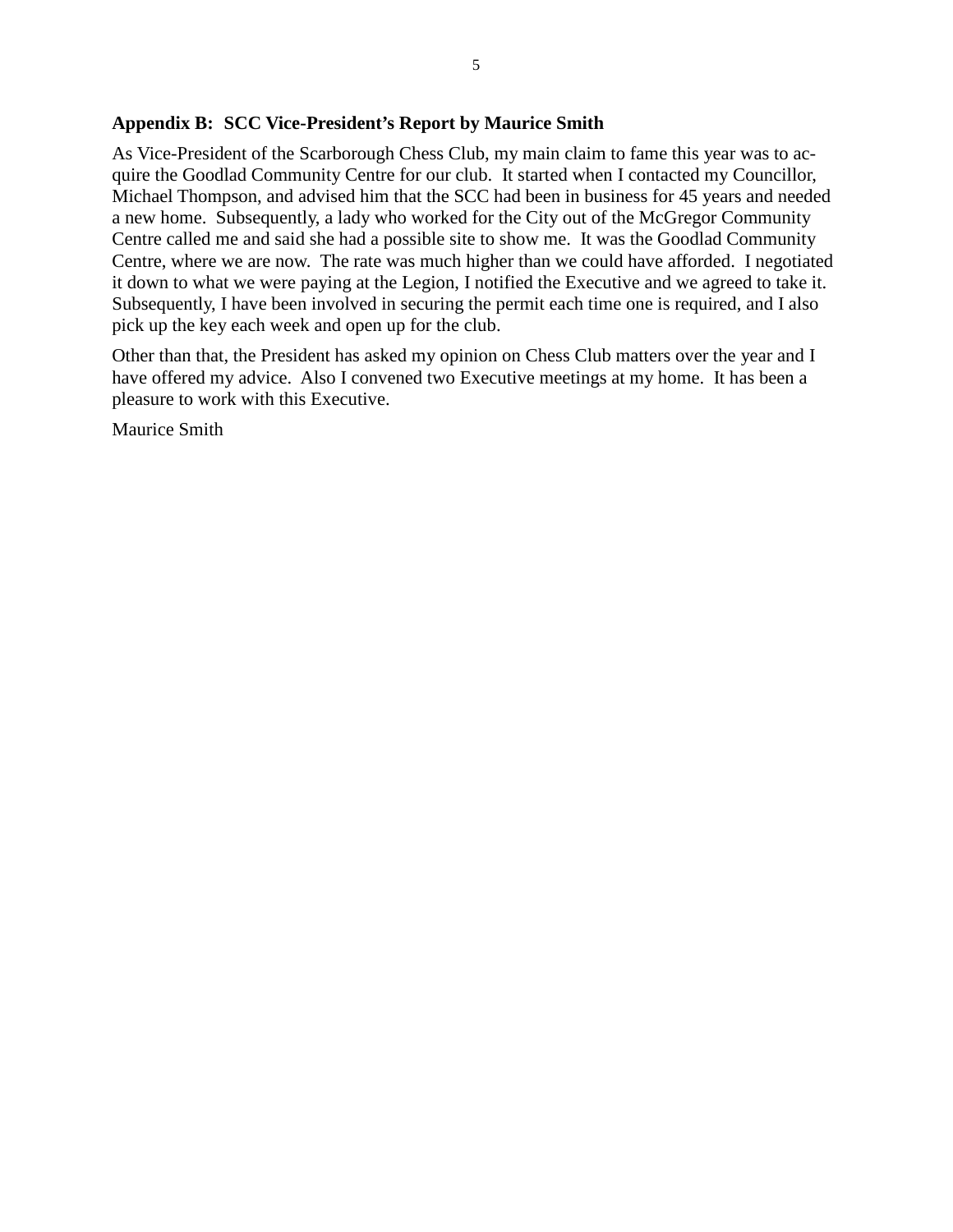### **Appendix B: SCC Vice-President's Report by Maurice Smith**

As Vice-President of the Scarborough Chess Club, my main claim to fame this year was to acquire the Goodlad Community Centre for our club. It started when I contacted my Councillor, Michael Thompson, and advised him that the SCC had been in business for 45 years and needed a new home. Subsequently, a lady who worked for the City out of the McGregor Community Centre called me and said she had a possible site to show me. It was the Goodlad Community Centre, where we are now. The rate was much higher than we could have afforded. I negotiated it down to what we were paying at the Legion, I notified the Executive and we agreed to take it. Subsequently, I have been involved in securing the permit each time one is required, and I also pick up the key each week and open up for the club.

Other than that, the President has asked my opinion on Chess Club matters over the year and I have offered my advice. Also I convened two Executive meetings at my home. It has been a pleasure to work with this Executive.

Maurice Smith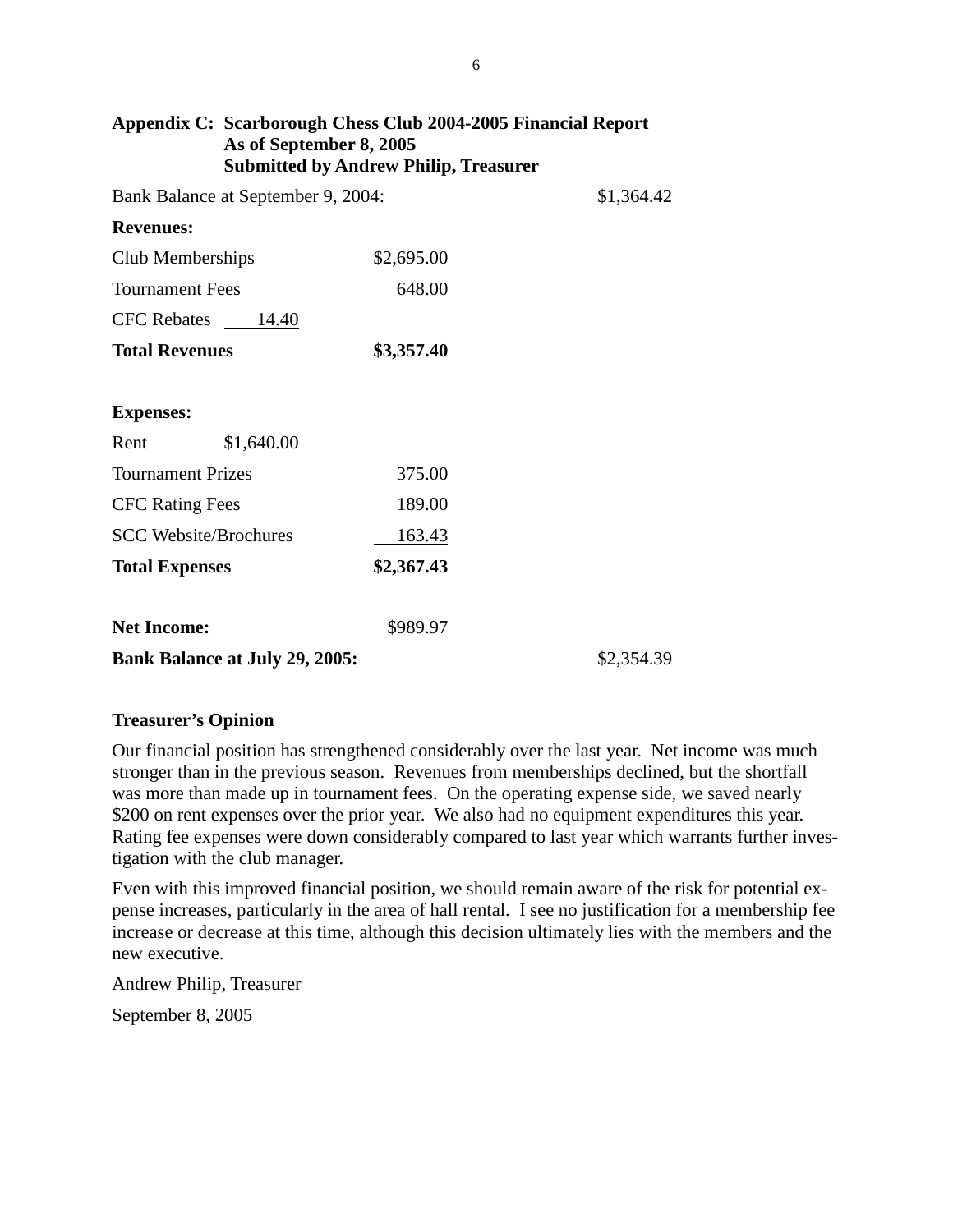| Appendix C: Scarborough Chess Club 2004-2005 Financial Report<br>As of September 8, 2005<br><b>Submitted by Andrew Philip, Treasurer</b> |            |            |
|------------------------------------------------------------------------------------------------------------------------------------------|------------|------------|
| Bank Balance at September 9, 2004:                                                                                                       |            | \$1,364.42 |
| <b>Revenues:</b>                                                                                                                         |            |            |
| Club Memberships                                                                                                                         | \$2,695.00 |            |
| <b>Tournament Fees</b>                                                                                                                   | 648.00     |            |
| CFC Rebates 14.40                                                                                                                        |            |            |
| <b>Total Revenues</b>                                                                                                                    | \$3,357.40 |            |
|                                                                                                                                          |            |            |
| <b>Expenses:</b>                                                                                                                         |            |            |
| Rent<br>\$1,640.00                                                                                                                       |            |            |
| <b>Tournament Prizes</b>                                                                                                                 | 375.00     |            |
| <b>CFC Rating Fees</b>                                                                                                                   | 189.00     |            |
| <b>SCC Website/Brochures</b>                                                                                                             | 163.43     |            |
| <b>Total Expenses</b>                                                                                                                    | \$2,367.43 |            |
|                                                                                                                                          |            |            |
| <b>Net Income:</b>                                                                                                                       | \$989.97   |            |
| <b>Bank Balance at July 29, 2005:</b>                                                                                                    |            | \$2,354.39 |

### **Treasurer's Opinion**

Our financial position has strengthened considerably over the last year. Net income was much stronger than in the previous season. Revenues from memberships declined, but the shortfall was more than made up in tournament fees. On the operating expense side, we saved nearly \$200 on rent expenses over the prior year. We also had no equipment expenditures this year. Rating fee expenses were down considerably compared to last year which warrants further investigation with the club manager.

Even with this improved financial position, we should remain aware of the risk for potential expense increases, particularly in the area of hall rental. I see no justification for a membership fee increase or decrease at this time, although this decision ultimately lies with the members and the new executive.

Andrew Philip, Treasurer

September 8, 2005